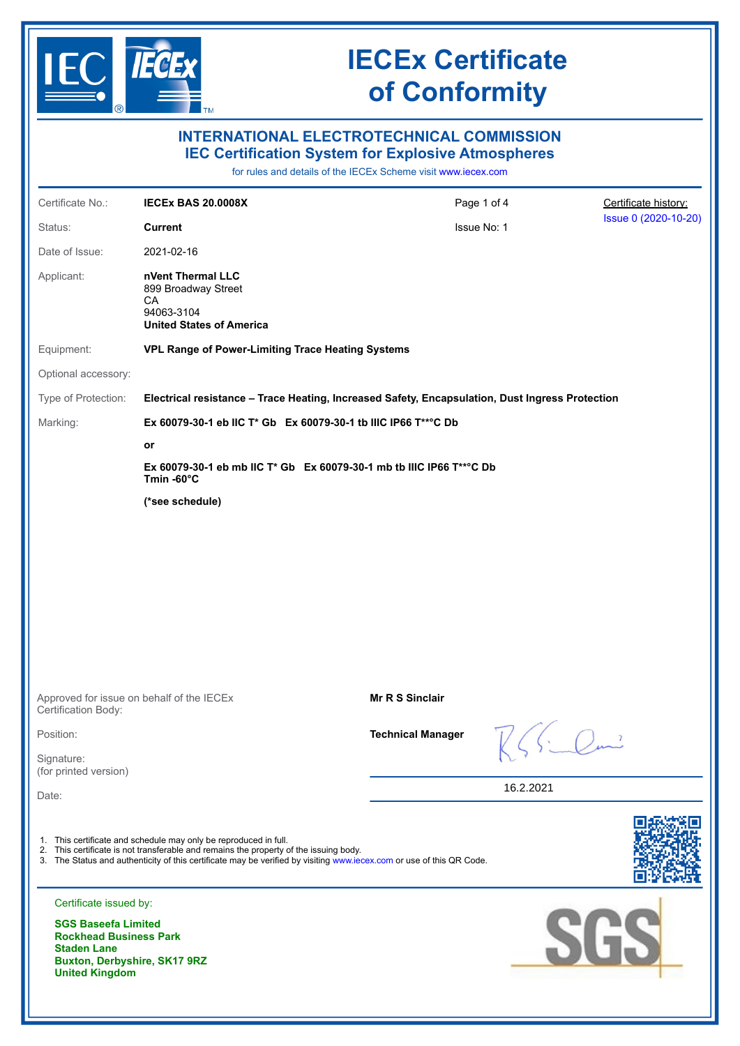

| $\circ$                                                                                                                                    | $\blacksquare$ TM                                                                                                                                         |                                                                                                                                                                                |           |                      |
|--------------------------------------------------------------------------------------------------------------------------------------------|-----------------------------------------------------------------------------------------------------------------------------------------------------------|--------------------------------------------------------------------------------------------------------------------------------------------------------------------------------|-----------|----------------------|
|                                                                                                                                            |                                                                                                                                                           | <b>INTERNATIONAL ELECTROTECHNICAL COMMISSION</b><br><b>IEC Certification System for Explosive Atmospheres</b><br>for rules and details of the IECEx Scheme visit www.iecex.com |           |                      |
| Certificate No.:                                                                                                                           | <b>IECEX BAS 20.0008X</b>                                                                                                                                 | Page 1 of 4                                                                                                                                                                    |           | Certificate history: |
| Status:                                                                                                                                    | <b>Current</b>                                                                                                                                            | Issue No: 1                                                                                                                                                                    |           | Issue 0 (2020-10-20) |
| Date of Issue:                                                                                                                             | 2021-02-16                                                                                                                                                |                                                                                                                                                                                |           |                      |
| Applicant:                                                                                                                                 | nVent Thermal LLC<br>899 Broadway Street<br>CA<br>94063-3104<br><b>United States of America</b>                                                           |                                                                                                                                                                                |           |                      |
| Equipment:                                                                                                                                 | VPL Range of Power-Limiting Trace Heating Systems                                                                                                         |                                                                                                                                                                                |           |                      |
| Optional accessory:                                                                                                                        |                                                                                                                                                           |                                                                                                                                                                                |           |                      |
| Type of Protection:                                                                                                                        |                                                                                                                                                           | Electrical resistance - Trace Heating, Increased Safety, Encapsulation, Dust Ingress Protection                                                                                |           |                      |
| Marking:                                                                                                                                   |                                                                                                                                                           | Ex 60079-30-1 eb IIC T* Gb Ex 60079-30-1 tb IIIC IP66 T**°C Db                                                                                                                 |           |                      |
|                                                                                                                                            | or                                                                                                                                                        |                                                                                                                                                                                |           |                      |
|                                                                                                                                            | Ex 60079-30-1 eb mb IIC T* Gb Ex 60079-30-1 mb tb IIIC IP66 T**°C Db<br>Tmin-60°C                                                                         |                                                                                                                                                                                |           |                      |
|                                                                                                                                            | (*see schedule)                                                                                                                                           |                                                                                                                                                                                |           |                      |
|                                                                                                                                            | Approved for issue on behalf of the IECEx                                                                                                                 | <b>Mr R S Sinclair</b>                                                                                                                                                         |           |                      |
| Certification Body:                                                                                                                        |                                                                                                                                                           |                                                                                                                                                                                |           |                      |
| Position:                                                                                                                                  |                                                                                                                                                           | <b>Technical Manager</b>                                                                                                                                                       |           |                      |
| Signature:<br>(for printed version)                                                                                                        |                                                                                                                                                           |                                                                                                                                                                                |           |                      |
| Date:                                                                                                                                      |                                                                                                                                                           |                                                                                                                                                                                | 16.2.2021 |                      |
|                                                                                                                                            | 1. This certificate and schedule may only be reproduced in full.<br>2. This certificate is not transferable and remains the property of the issuing body. | 3. The Status and authenticity of this certificate may be verified by visiting www.iecex.com or use of this QR Code.                                                           |           |                      |
| Certificate issued by:                                                                                                                     |                                                                                                                                                           |                                                                                                                                                                                |           |                      |
| <b>SGS Baseefa Limited</b><br><b>Rockhead Business Park</b><br><b>Staden Lane</b><br>Buxton, Derbyshire, SK17 9RZ<br><b>United Kingdom</b> |                                                                                                                                                           |                                                                                                                                                                                | SGS       |                      |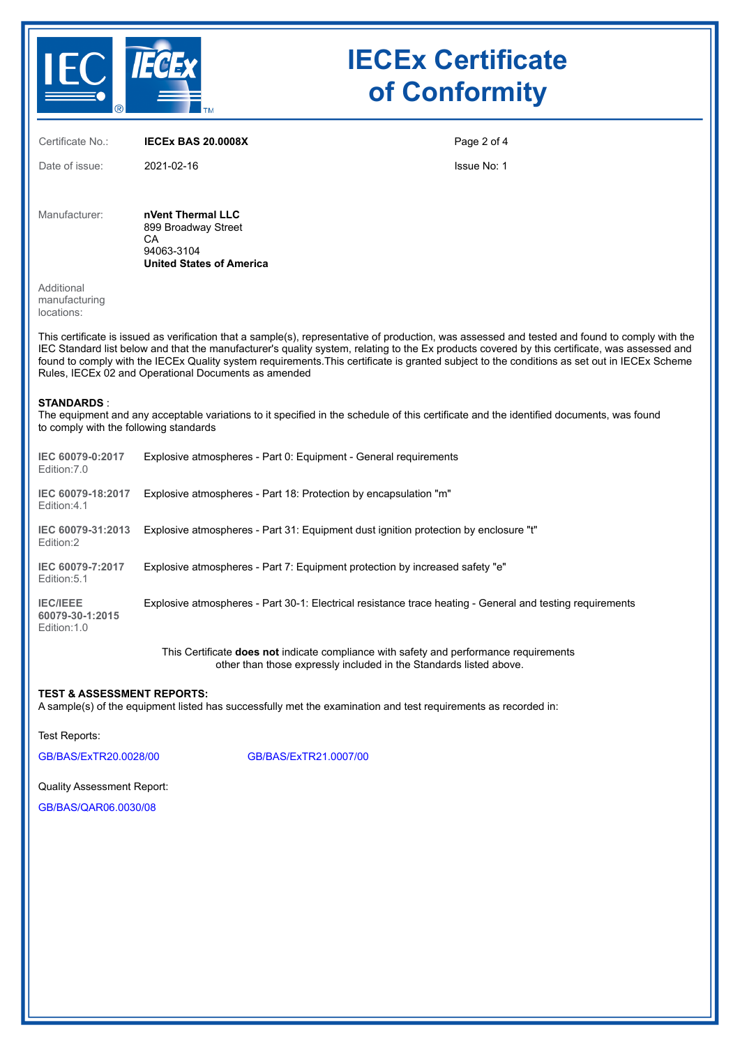

| Certificate No.:                                            | <b>IECEX BAS 20.0008X</b>                                                                                                                                                                                                                                                                                                                                                                                                                                                                                | Page 2 of 4 |
|-------------------------------------------------------------|----------------------------------------------------------------------------------------------------------------------------------------------------------------------------------------------------------------------------------------------------------------------------------------------------------------------------------------------------------------------------------------------------------------------------------------------------------------------------------------------------------|-------------|
| Date of issue:                                              | 2021-02-16                                                                                                                                                                                                                                                                                                                                                                                                                                                                                               | Issue No: 1 |
| Manufacturer:                                               | nVent Thermal LLC<br>899 Broadway Street<br>СA<br>94063-3104<br><b>United States of America</b>                                                                                                                                                                                                                                                                                                                                                                                                          |             |
| Additional<br>manufacturing<br>locations:                   |                                                                                                                                                                                                                                                                                                                                                                                                                                                                                                          |             |
|                                                             | This certificate is issued as verification that a sample(s), representative of production, was assessed and tested and found to comply with the<br>IEC Standard list below and that the manufacturer's quality system, relating to the Ex products covered by this certificate, was assessed and<br>found to comply with the IECEx Quality system requirements. This certificate is granted subject to the conditions as set out in IECEx Scheme<br>Rules, IECEx 02 and Operational Documents as amended |             |
| <b>STANDARDS:</b><br>to comply with the following standards | The equipment and any acceptable variations to it specified in the schedule of this certificate and the identified documents, was found                                                                                                                                                                                                                                                                                                                                                                  |             |
| IEC 60079-0:2017<br>Edition: 7.0                            | Explosive atmospheres - Part 0: Equipment - General requirements                                                                                                                                                                                                                                                                                                                                                                                                                                         |             |
| IEC 60079-18:2017<br>Edition: 4.1                           | Explosive atmospheres - Part 18: Protection by encapsulation "m"                                                                                                                                                                                                                                                                                                                                                                                                                                         |             |
| IEC 60079-31:2013<br>Edition:2                              | Explosive atmospheres - Part 31: Equipment dust ignition protection by enclosure "t"                                                                                                                                                                                                                                                                                                                                                                                                                     |             |
| IEC 60079-7:2017<br>Edition: 5.1                            | Explosive atmospheres - Part 7: Equipment protection by increased safety "e"                                                                                                                                                                                                                                                                                                                                                                                                                             |             |
| <b>IEC/IEEE</b><br>60079-30-1:2015<br>Edition: 1.0          | Explosive atmospheres - Part 30-1: Electrical resistance trace heating - General and testing requirements                                                                                                                                                                                                                                                                                                                                                                                                |             |
|                                                             | This Certificate does not indicate compliance with safety and performance requirements<br>other than those expressly included in the Standards listed above.                                                                                                                                                                                                                                                                                                                                             |             |

### **TEST & ASSESSMENT REPORTS:**

A sample(s) of the equipment listed has successfully met the examination and test requirements as recorded in:

Test Reports:

[GB/BAS/ExTR20.0028/00](https://www.iecex-certs.com/deliverables/REPORT/63594/view) [GB/BAS/ExTR21.0007/00](https://www.iecex-certs.com/deliverables/REPORT/70731/view)

Quality Assessment Report:

[GB/BAS/QAR06.0030/08](https://www.iecex-certs.com/deliverables/REPORT/46911/view)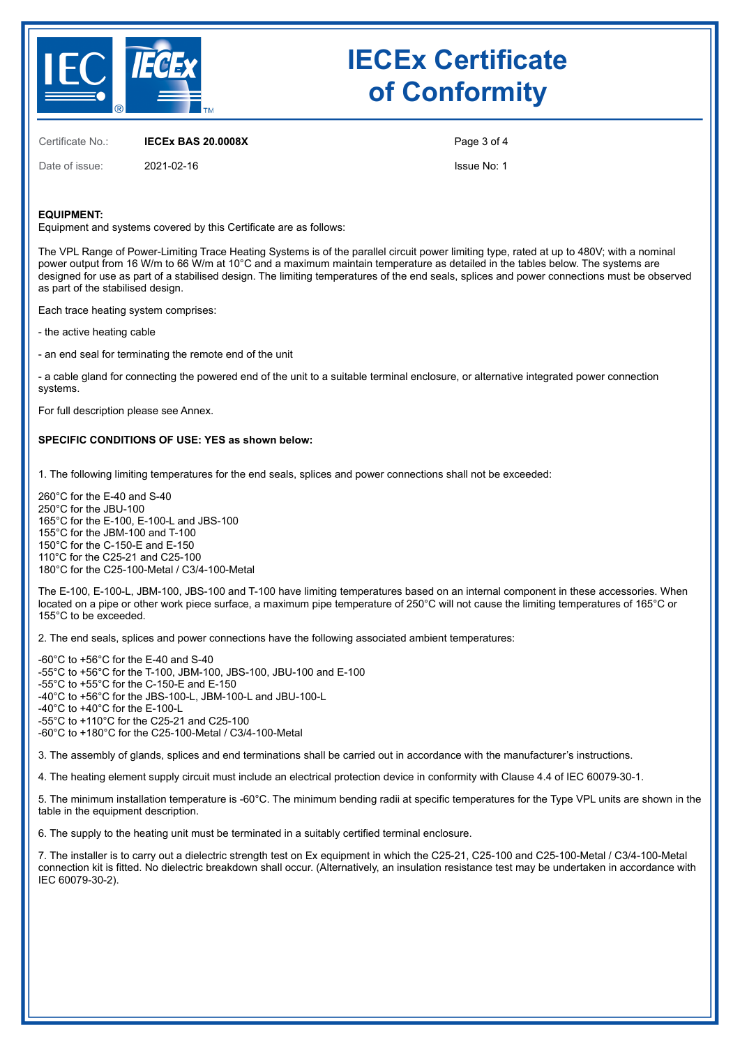

Certificate No.: **IECEx BAS 20.0008X**

Date of issue: 2021-02-16

Page 3 of 4

Issue No: 1

#### **EQUIPMENT:**

Equipment and systems covered by this Certificate are as follows:

The VPL Range of Power-Limiting Trace Heating Systems is of the parallel circuit power limiting type, rated at up to 480V; with a nominal power output from 16 W/m to 66 W/m at 10°C and a maximum maintain temperature as detailed in the tables below. The systems are designed for use as part of a stabilised design. The limiting temperatures of the end seals, splices and power connections must be observed as part of the stabilised design.

Each trace heating system comprises:

- the active heating cable

- an end seal for terminating the remote end of the unit

- a cable gland for connecting the powered end of the unit to a suitable terminal enclosure, or alternative integrated power connection systems.

For full description please see Annex.

#### **SPECIFIC CONDITIONS OF USE: YES as shown below:**

1. The following limiting temperatures for the end seals, splices and power connections shall not be exceeded:

260°C for the E-40 and S-40 250°C for the JBU-100 165°C for the E-100, E-100-L and JBS-100 155°C for the JBM-100 and T-100 150°C for the C-150-E and E-150 110°C for the C25-21 and C25-100 180°C for the C25-100-Metal / C3/4-100-Metal

The E-100, E-100-L, JBM-100, JBS-100 and T-100 have limiting temperatures based on an internal component in these accessories. When located on a pipe or other work piece surface, a maximum pipe temperature of 250°C will not cause the limiting temperatures of 165°C or 155°C to be exceeded.

2. The end seals, splices and power connections have the following associated ambient temperatures:

-60°C to +56°C for the E-40 and S-40 -55°C to +56°C for the T-100, JBM-100, JBS-100, JBU-100 and E-100 -55°C to +55°C for the C-150-E and E-150 -40°C to +56°C for the JBS-100-L, JBM-100-L and JBU-100-L -40°C to +40°C for the E-100-L -55°C to +110°C for the C25-21 and C25-100 -60°C to +180°C for the C25-100-Metal / C3/4-100-Metal

3. The assembly of glands, splices and end terminations shall be carried out in accordance with the manufacturer's instructions.

4. The heating element supply circuit must include an electrical protection device in conformity with Clause 4.4 of IEC 60079-30-1.

5. The minimum installation temperature is -60°C. The minimum bending radii at specific temperatures for the Type VPL units are shown in the table in the equipment description.

6. The supply to the heating unit must be terminated in a suitably certified terminal enclosure.

7. The installer is to carry out a dielectric strength test on Ex equipment in which the C25-21, C25-100 and C25-100-Metal / C3/4-100-Metal connection kit is fitted. No dielectric breakdown shall occur. (Alternatively, an insulation resistance test may be undertaken in accordance with IEC 60079-30-2).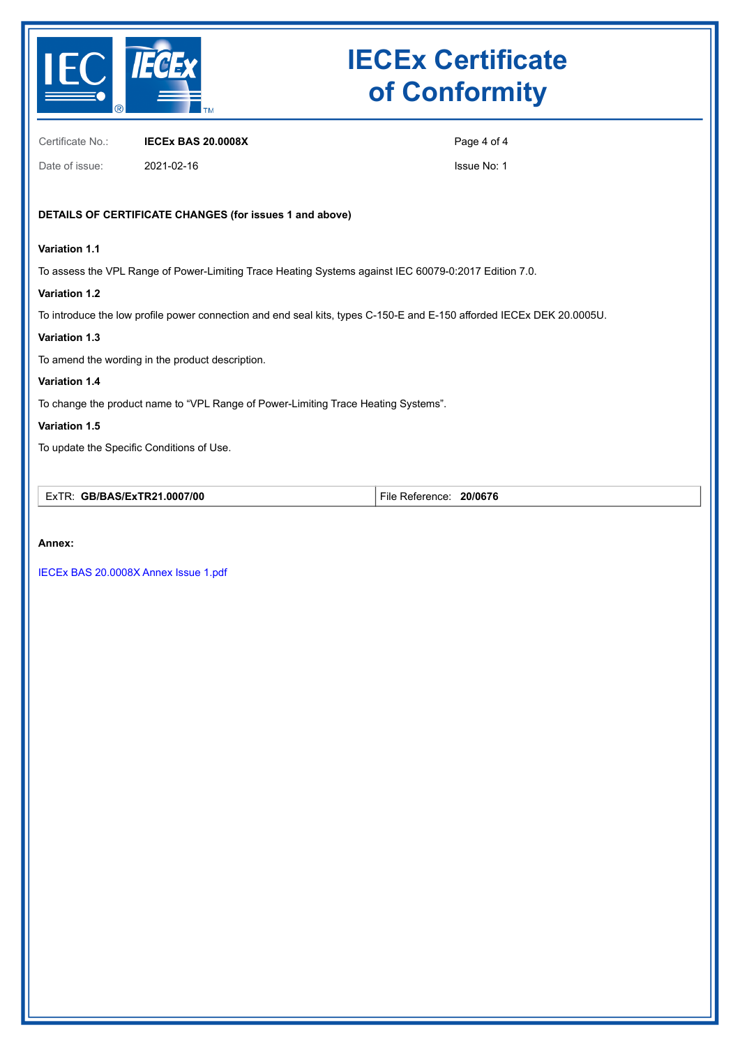

Certificate No.: **IECEx BAS 20.0008X**

Date of issue: 2021-02-16

Page 4 of 4

Issue No: 1

### **DETAILS OF CERTIFICATE CHANGES (for issues 1 and above)**

### **Variation 1.1**

To assess the VPL Range of Power-Limiting Trace Heating Systems against IEC 60079-0:2017 Edition 7.0.

### **Variation 1.2**

To introduce the low profile power connection and end seal kits, types C-150-E and E-150 afforded IECEx DEK 20.0005U.

### **Variation 1.3**

To amend the wording in the product description.

### **Variation 1.4**

To change the product name to "VPL Range of Power-Limiting Trace Heating Systems".

### **Variation 1.5**

To update the Specific Conditions of Use.

| .0007/00<br>GB/BAS/ExTR21<br>EVTP<br>–^ ' | 20/0676<br>eterence<br>-ıle<br>. |
|-------------------------------------------|----------------------------------|
|-------------------------------------------|----------------------------------|

#### **Annex:**

[IECEx BAS 20.0008X Annex Issue 1.pdf](https://www.iecex-certs.com/deliverables/CERT/52550/view)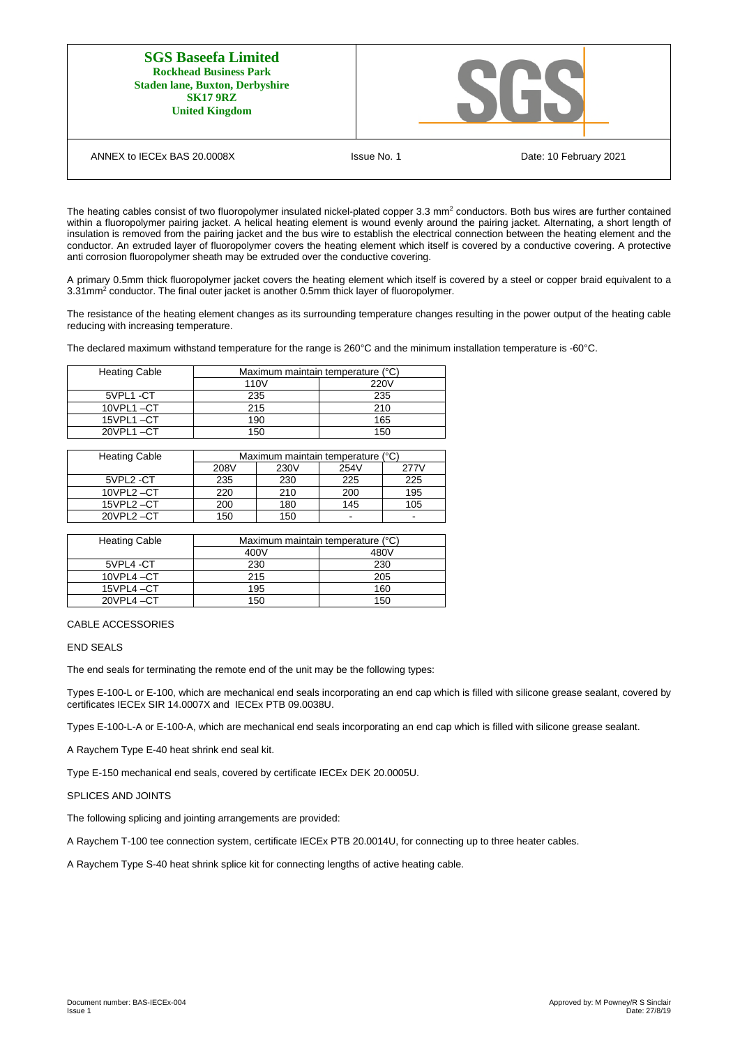| <b>SGS Baseefa Limited</b><br><b>Rockhead Business Park</b><br><b>Staden lane, Buxton, Derbyshire</b><br><b>SK17 9RZ</b><br><b>United Kingdom</b> |                                       |
|---------------------------------------------------------------------------------------------------------------------------------------------------|---------------------------------------|
| ANNEX to IECEx BAS 20,0008X                                                                                                                       | Issue No. 1<br>Date: 10 February 2021 |

The heating cables consist of two fluoropolymer insulated nickel-plated copper 3.3 mm<sup>2</sup> conductors. Both bus wires are further contained within a fluoropolymer pairing jacket. A helical heating element is wound evenly around the pairing jacket. Alternating, a short length of insulation is removed from the pairing jacket and the bus wire to establish the electrical connection between the heating element and the conductor. An extruded layer of fluoropolymer covers the heating element which itself is covered by a conductive covering. A protective anti corrosion fluoropolymer sheath may be extruded over the conductive covering.

A primary 0.5mm thick fluoropolymer jacket covers the heating element which itself is covered by a steel or copper braid equivalent to a 3.31mm<sup>2</sup> conductor. The final outer jacket is another 0.5mm thick layer of fluoropolymer.

The resistance of the heating element changes as its surrounding temperature changes resulting in the power output of the heating cable reducing with increasing temperature.

The declared maximum withstand temperature for the range is 260°C and the minimum installation temperature is -60°C.

| <b>Heating Cable</b> | Maximum maintain temperature (°C) |      |
|----------------------|-----------------------------------|------|
|                      | 110 <sub>V</sub>                  | 220V |
| 5VPL1-CT             | 235                               | 235  |
| $10$ VPL1 $-C$ T     | 215                               | 210  |
| 15VPL1-CT            | 190                               | 165  |
| 20VPL1-CT            | 150                               | 150  |

| <b>Heating Cable</b> | Maximum maintain temperature (°C) |      |                          |      |
|----------------------|-----------------------------------|------|--------------------------|------|
|                      | 208V                              | 230V | 254V                     | 277V |
| 5VPL2-CT             | 235                               | 230  | 225                      | 225  |
| 10VPL2-CT            | 220                               | 210  | 200                      | 195  |
| 15VPL2-CT            | 200                               | 180  | 145                      | 105  |
| 20VPL2-CT            | 150                               | 150  | $\overline{\phantom{0}}$ | -    |

| <b>Heating Cable</b> | Maximum maintain temperature (°C) |      |  |
|----------------------|-----------------------------------|------|--|
|                      | 400V                              | 480V |  |
| 5VPL4-CT             | 230                               | 230  |  |
| $10$ VPL4 $-CT$      | 215                               | 205  |  |
| 15VPL4-CT            | 195                               | 160  |  |
| 20VPL4-CT            | 150                               | 150  |  |

CABLE ACCESSORIES

END SEALS

The end seals for terminating the remote end of the unit may be the following types:

Types E-100-L or E-100, which are mechanical end seals incorporating an end cap which is filled with silicone grease sealant, covered by certificates IECEx SIR 14.0007X and IECEx PTB 09.0038U.

Types E-100-L-A or E-100-A, which are mechanical end seals incorporating an end cap which is filled with silicone grease sealant.

A Raychem Type E-40 heat shrink end seal kit.

Type E-150 mechanical end seals, covered by certificate IECEx DEK 20.0005U.

#### SPLICES AND JOINTS

The following splicing and jointing arrangements are provided:

A Raychem T-100 tee connection system, certificate IECEx PTB 20.0014U, for connecting up to three heater cables.

A Raychem Type S-40 heat shrink splice kit for connecting lengths of active heating cable.